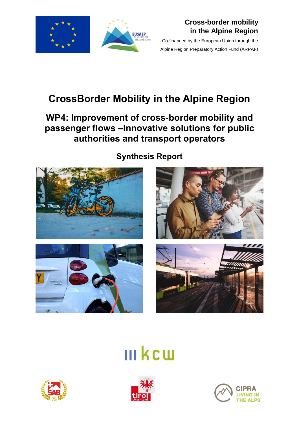



## **Cross-border mobility in the Alpine Region**

Co-financed by the European Union through the Alpine Region Preparatory Action Fund (ARPAF)

# **CrossBorder Mobility in the Alpine Region**

## **WP4: Improvement of cross-border mobility and passenger flows –Innovative solutions for public authorities and transport operators**



**Synthesis Report**







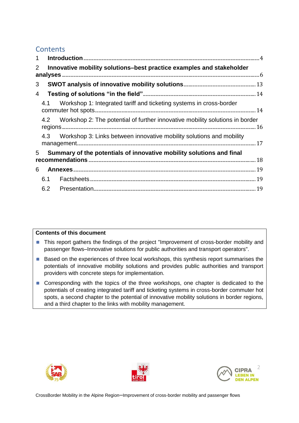## **Contents**

| $\mathbf 1$    |                                                                      |                                                                                  |  |  |  |  |
|----------------|----------------------------------------------------------------------|----------------------------------------------------------------------------------|--|--|--|--|
| $\overline{2}$ | Innovative mobility solutions-best practice examples and stakeholder |                                                                                  |  |  |  |  |
| 3              |                                                                      |                                                                                  |  |  |  |  |
| $\overline{4}$ |                                                                      |                                                                                  |  |  |  |  |
|                | 4.1                                                                  | Workshop 1: Integrated tariff and ticketing systems in cross-border              |  |  |  |  |
|                |                                                                      | 4.2 Workshop 2: The potential of further innovative mobility solutions in border |  |  |  |  |
|                |                                                                      | 4.3 Workshop 3: Links between innovative mobility solutions and mobility         |  |  |  |  |
| 5              | Summary of the potentials of innovative mobility solutions and final |                                                                                  |  |  |  |  |
| 6              |                                                                      |                                                                                  |  |  |  |  |
|                | 6.1                                                                  |                                                                                  |  |  |  |  |
|                | 6.2                                                                  |                                                                                  |  |  |  |  |

#### **Contents of this document**

- **This report gathers the findings of the project "Improvement of cross-border mobility and** passenger flows–Innovative solutions for public authorities and transport operators".
- Based on the experiences of three local workshops, this synthesis report summarises the potentials of innovative mobility solutions and provides public authorities and transport providers with concrete steps for implementation.
- Corresponding with the topics of the three workshops, one chapter is dedicated to the potentials of creating integrated tariff and ticketing systems in cross-border commuter hot spots, a second chapter to the potential of innovative mobility solutions in border regions, and a third chapter to the links with mobility management.





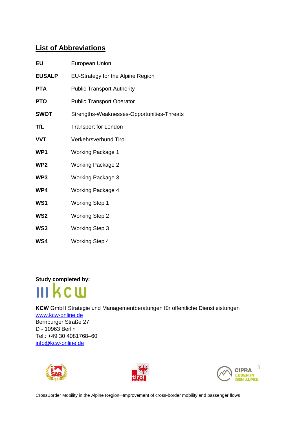## **List of Abbreviations**

| EU              | European Union                             |
|-----------------|--------------------------------------------|
| <b>EUSALP</b>   | EU-Strategy for the Alpine Region          |
| <b>PTA</b>      | <b>Public Transport Authority</b>          |
| <b>PTO</b>      | <b>Public Transport Operator</b>           |
| <b>SWOT</b>     | Strengths-Weaknesses-Opportunities-Threats |
| TfL             | <b>Transport for London</b>                |
| <b>VVT</b>      | <b>Verkehrsverbund Tirol</b>               |
| WP1             | <b>Working Package 1</b>                   |
| WP <sub>2</sub> | <b>Working Package 2</b>                   |
| WP3             | <b>Working Package 3</b>                   |
| WP4             | <b>Working Package 4</b>                   |
| WS <sub>1</sub> | <b>Working Step 1</b>                      |
| WS <sub>2</sub> | <b>Working Step 2</b>                      |
| WS3             | <b>Working Step 3</b>                      |
| WS4             | <b>Working Step 4</b>                      |

**Study completed by:**



**KCW** GmbH Strategie und Managementberatungen für öffentliche Dienstleistungen [www.kcw-online.de](http://www.kcw-online.de/)  Bernburger Straße 27 D - 10963 Berlin Tel.: +49 30 4081768–60 [info@kcw-online.de](mailto:info@kcw-online.de)





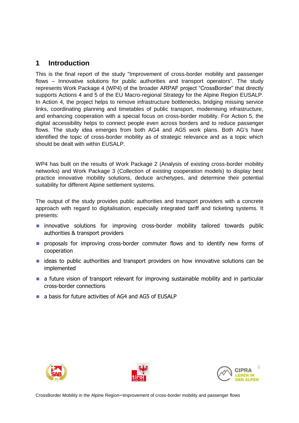### <span id="page-3-0"></span>**1 Introduction**

This is the final report of the study "Improvement of cross-border mobility and passenger flows – Innovative solutions for public authorities and transport operators". The study represents Work Package 4 (WP4) of the broader ARPAF project "CrossBorder" that directly supports Actions 4 and 5 of the EU Macro-regional Strategy for the Alpine Region EUSALP. In Action 4, the project helps to remove infrastructure bottlenecks, bridging missing service links, coordinating planning and timetables of public transport, modernising infrastructure, and enhancing cooperation with a special focus on cross-border mobility. For Action 5, the digital accessibility helps to connect people even across borders and to reduce passenger flows. The study idea emerges from both AG4 and AG5 work plans. Both AG's have identified the topic of cross-border mobility as of strategic relevance and as a topic which should be dealt with within EUSALP.

WP4 has built on the results of Work Package 2 (Analysis of existing cross-border mobility networks) and Work Package 3 (Collection of existing cooperation models) to display best practice innovative mobility solutions, deduce archetypes, and determine their potential suitability for different Alpine settlement systems.

The output of the study provides public authorities and transport providers with a concrete approach with regard to digitalisation, especially integrated tariff and ticketing systems. It presents:

- **n** innovative solutions for improving cross-border mobility tailored towards public authorities & transport providers
- **Peroposals for improving cross-border commuter flows and to identify new forms of** cooperation
- **ideas to public authorities and transport providers on how innovative solutions can be** implemented
- **a** a future vision of transport relevant for improving sustainable mobility and in particular cross-border connections
- **a** a basis for future activities of AG4 and AG5 of EUSALP





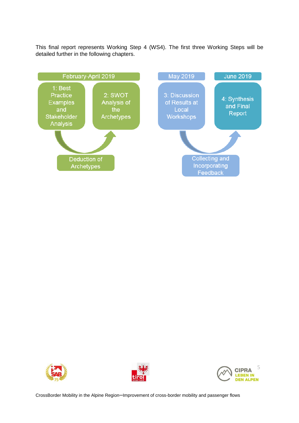This final report represents Working Step 4 (WS4). The first three Working Steps will be detailed further in the following chapters.







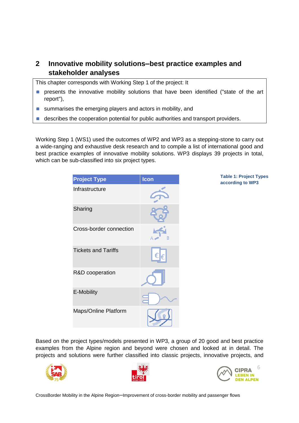## <span id="page-5-0"></span>**2 Innovative mobility solutions–best practice examples and stakeholder analyses**

This chapter corresponds with Working Step 1 of the project: It

- **Permision interpretently** presents the innovative mobility solutions that have been identified ("state of the art report"),
- summarises the emerging players and actors in mobility, and
- describes the cooperation potential for public authorities and transport providers.  $\Box$

Working Step 1 (WS1) used the outcomes of WP2 and WP3 as a stepping-stone to carry out a wide-ranging and exhaustive desk research and to compile a list of international good and best practice examples of innovative mobility solutions. WP3 displays 39 projects in total, which can be sub-classified into six project types.

| <b>Project Type</b>        | Icon |
|----------------------------|------|
| Infrastructure             |      |
| Sharing                    |      |
| Cross-border connection    |      |
| <b>Tickets and Tariffs</b> |      |
| R&D cooperation            |      |
| E-Mobility                 |      |
| Maps/Online Platform       |      |

**Table 1: Project Types according to WP3**

Based on the project types/models presented in WP3, a group of 20 good and best practice examples from the Alpine region and beyond were chosen and looked at in detail. The projects and solutions were further classified into classic projects, innovative projects, and





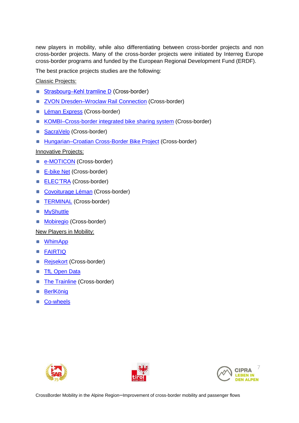new players in mobility, while also differentiating between cross-border projects and non cross-border projects. Many of the cross-border projects were initiated by Interreg Europe cross-border programs and funded by the European Regional Development Fund (ERDF).

The best practice projects studies are the following:

Classic Projects:

- Strasbourg–[Kehl tramline D](https://www.kehl.de/stadt/tram/index.php) (Cross-border)  $\Box$
- $\blacksquare$ [ZVON Dresden–Wroclaw Rail Connection](https://www.zvon.de/de/Dresden-Wroclaw-Spezial/) (Cross-border)
- [Léman Express](https://lemanexpress.ch/) (Cross-border)  $\Box$
- [KOMBI–Cross-border integrated bike sharing system](http://www.skhu.eu/funded-projects/kombi-cross-border-integrated-bike-sharing-system) (Cross-border)  $\Box$
- [SacraVelo](http://www.skhu.eu/funded-projects/sacravelo-network-of-cross-border-bicycle-pilgrim-routes-in-the-danube-area) (Cross-border)  $\Box$
- Hungarian–Croatian [Cross-Border Bike Project](http://www.cross-border-bike-project.hr/?lang=en) (Cross-border)

Innovative Projects:

- $\Box$ [e-MOTICON](https://www.alpine-space.eu/projects/e-moticon/en/home) (Cross-border)
- [E-bike Net](http://danube-ebike.net/en/home/) (Cross-border)
- **[ELEC'TRA](http://www.izes.de/sites/default/files/publikationen/EM_12_091_D.pdf)** (Cross-border)
- [Covoiturage Léman](https://www.covoiturage-leman.org/) (Cross-border)
- **[TERMINAL](https://terminal-interreg.eu/en/a-lighthouse-project-on-mobility-in-the-greater-region-2/)** (Cross-border)  $\Box$
- **[MyShuttle](https://www.zvb.ch/en/current-issues/pilotprojekt-myshuttle/)**  $\Box$
- **[Mobiregio](http://www.mobiregio.net/)** (Cross-border)

New Players in Mobility:

- [WhimApp](https://whimapp.com/)
- [FAIRTIQ](https://fairtiq.com/en-ch/)  $\blacksquare$
- [Rejsekort](https://www.rejsekort.dk/?sc_lang=en) (Cross-border)
- **TfL** Open Data  $\Box$
- [The Trainline](https://www.thetrainline.com/) (Cross-border)  $\Box$
- **[BerlKönig](https://www.berlkoenig.de/en/)** n
- [Co-wheels](http://www.co-wheels.org.uk/)





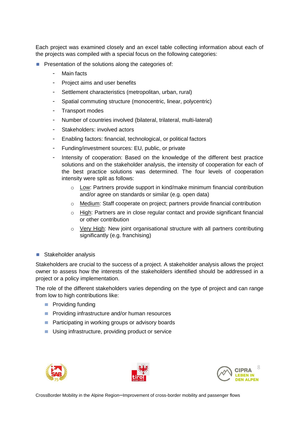Each project was examined closely and an excel table collecting information about each of the projects was compiled with a special focus on the following categories:

- **Presentation of the solutions along the categories of:** 
	- Main facts
	- Project aims and user benefits
	- Settlement characteristics (metropolitan, urban, rural)
	- Spatial commuting structure (monocentric, linear, polycentric)
	- Transport modes
	- Number of countries involved (bilateral, trilateral, multi-lateral)
	- Stakeholders: involved actors
	- Enabling factors: financial, technological, or political factors
	- Funding/investment sources: EU, public, or private
	- Intensity of cooperation: Based on the knowledge of the different best practice solutions and on the stakeholder analysis, the intensity of cooperation for each of the best practice solutions was determined. The four levels of cooperation intensity were split as follows:
		- $\circ$  Low: Partners provide support in kind/make minimum financial contribution and/or agree on standards or similar (e.g. open data)
		- o Medium: Staff cooperate on project; partners provide financial contribution
		- $\circ$  High: Partners are in close regular contact and provide significant financial or other contribution
		- $\circ$  Very High: New joint organisational structure with all partners contributing significantly (e.g. franchising)
- Stakeholder analysis

Stakeholders are crucial to the success of a project. A stakeholder analysis allows the project owner to assess how the interests of the stakeholders identified should be addressed in a project or a policy implementation.

The role of the different stakeholders varies depending on the type of project and can range from low to high contributions like:

- **Providing funding**
- **Providing infrastructure and/or human resources**
- **Participating in working groups or advisory boards**
- Using infrastructure, providing product or service





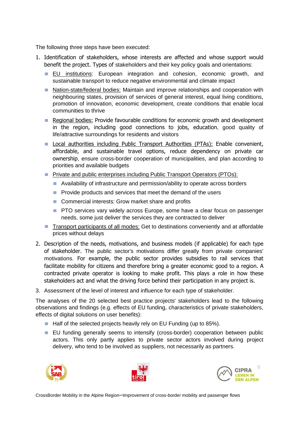The following three steps have been executed:

- 1. Identification of stakeholders, whose interests are affected and whose support would benefit the project. Types of stakeholders and their key policy goals and orientations:
	- **EU** institutions: European integration and cohesion, economic growth, and sustainable transport to reduce negative environmental and climate impact
	- Nation-state/federal bodies: Maintain and improve relationships and cooperation with neighbouring states, provision of services of general interest, equal living conditions, promotion of innovation, economic development, create conditions that enable local communities to thrive
	- **Regional bodies: Provide favourable conditions for economic growth and development** in the region, including good connections to jobs, education, good quality of life/attractive surroundings for residents and visitors
	- **Local authorities including Public Transport Authorities (PTAs): Enable convenient,** affordable, and sustainable travel options, reduce dependency on private car ownership, ensure cross-border cooperation of municipalities, and plan according to priorities and available budgets
	- **Private and public enterprises including Public Transport Operators (PTOs):** 
		- Availability of infrastructure and permission/ability to operate across borders
		- **Provide products and services that meet the demand of the users**
		- Commercial interests: Grow market share and profits
		- **PTO** services vary widely across Europe, some have a clear focus on passenger needs, some just deliver the services they are contracted to deliver
	- Transport participants of all modes: Get to destinations conveniently and at affordable prices without delays
- 2. Description of the needs, motivations, and business models (if applicable) for each type of stakeholder. The public sector's motivations differ greatly from private companies' motivations. For example, the public sector provides subsidies to rail services that facilitate mobility for citizens and therefore bring a greater economic good to a region. A contracted private operator is looking to make profit. This plays a role in how these stakeholders act and what the driving force behind their participation in any project is.
- 3. Assessment of the level of interest and influence for each type of stakeholder.

The analyses of the 20 selected best practice projects' stakeholders lead to the following observations and findings (e.g. effects of EU funding, characteristics of private stakeholders, effects of digital solutions on user benefits):

- Half of the selected projects heavily rely on EU Funding (up to 85%).
- EU funding generally seems to intensify (cross-border) cooperation between public actors. This only partly applies to private sector actors involved during project delivery, who tend to be involved as suppliers, not necessarily as partners.





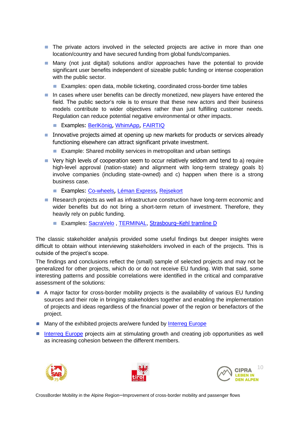- **The private actors involved in the selected projects are active in more than one** location/country and have secured funding from global funds/companies.
- **Many (not just digital) solutions and/or approaches have the potential to provide** significant user benefits independent of sizeable public funding or intense cooperation with the public sector.
	- **Examples: open data, mobile ticketing, coordinated cross-border time tables**
- **In cases where user benefits can be directly monetized, new players have entered the** field. The public sector's role is to ensure that these new actors and their business models contribute to wider objectives rather than just fulfilling customer needs. Regulation can reduce potential negative environmental or other impacts.
	- **Examples: [BerlKönig](https://www.berlkoenig.de/en/), [WhimApp](https://whimapp.com/), [FAIRTIQ](https://fairtiq.com/en-ch/)**
- **Innovative projects aimed at opening up new markets for products or services already** functioning elsewhere can attract significant private investment.
	- **Example: Shared mobility services in metropolitan and urban settings**
- Very high levels of cooperation seem to occur relatively seldom and tend to a) require high-level approval (nation-state) and alignment with long-term strategy goals b) involve companies (including state-owned) and c) happen when there is a strong business case.
	- Examples: [Co-wheels](http://www.co-wheels.org.uk/), [Léman Express](https://lemanexpress.ch/), [Rejsekort](https://www.rejsekort.dk/?sc_lang=en)
- **Research projects as well as infrastructure construction have long-term economic and** wider benefits but do not bring a short-term return of investment. Therefore, they heavily rely on public funding.
	- Examples: [SacraVelo](http://www.skhu.eu/funded-projects/sacravelo-network-of-cross-border-bicycle-pilgrim-routes-in-the-danube-area), [TERMINAL,](https://terminal-interreg.eu/en/a-lighthouse-project-on-mobility-in-the-greater-region-2/) [Strasbourg](https://www.kehl.de/stadt/tram/index.php)-Kehl tramline D

The classic stakeholder analysis provided some useful findings but deeper insights were difficult to obtain without interviewing stakeholders involved in each of the projects. This is outside of the project's scope.

The findings and conclusions reflect the (small) sample of selected projects and may not be generalized for other projects, which do or do not receive EU funding. With that said, some interesting patterns and possible correlations were identified in the critical and comparative assessment of the solutions:

- A major factor for cross-border mobility projects is the availability of various EU funding sources and their role in bringing stakeholders together and enabling the implementation of projects and ideas regardless of the financial power of the region or benefactors of the project.
- Many of the exhibited projects are/were funded by [Interreg](https://www.interregeurope.eu/) Europe
- [Interreg Europe](https://www.interregeurope.eu/) projects aim at stimulating growth and creating job opportunities as well as increasing cohesion between the different members.





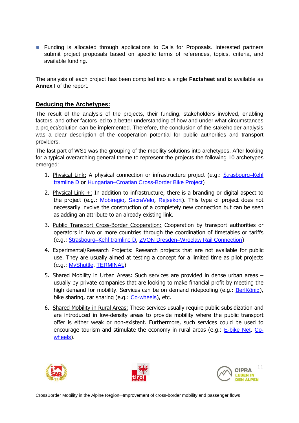**Funding is allocated through applications to Calls for Proposals. Interested partners** submit project proposals based on specific terms of references, topics, criteria, and available funding.

The analysis of each project has been compiled into a single **Factsheet** and is available as **Annex I** of the report.

#### **Deducing the Archetypes:**

The result of the analysis of the projects, their funding, stakeholders involved, enabling factors, and other factors led to a better understanding of how and under what circumstances a project/solution can be implemented. Therefore, the conclusion of the stakeholder analysis was a clear description of the cooperation potential for public authorities and transport providers.

The last part of WS1 was the grouping of the mobility solutions into archetypes. After looking for a typical overarching general theme to represent the projects the following 10 archetypes emerged:

- 1. Physical Link: A physical connection or infrastructure project (e.g.: [Strasbourg](https://www.kehl.de/stadt/tram/index.php)–Kehl [tramline D](https://www.kehl.de/stadt/tram/index.php) or [Hungarian–Croatian Cross-Border Bike Project](http://www.cross-border-bike-project.hr/?lang=en))
- 2. Physical Link +: In addition to infrastructure, there is a branding or digital aspect to the project (e.g.: [Mobiregio](http://www.mobiregio.net/), [SacraVelo](http://www.skhu.eu/funded-projects/sacravelo-network-of-cross-border-bicycle-pilgrim-routes-in-the-danube-area), [Rejsekort](https://www.rejsekort.dk/?sc_lang=en)). This type of project does not necessarily involve the construction of a completely new connection but can be seen as adding an attribute to an already existing link.
- 3. Public Transport Cross-Border Cooperation: Cooperation by transport authorities or operators in two or more countries through the coordination of timetables or tariffs (e.g.: Strasbourg–[Kehl tramline D,](https://www.kehl.de/stadt/tram/index.php) [ZVON Dresden–Wroclaw Rail Connection](https://www.zvon.de/de/Dresden-Wroclaw-Spezial/))
- 4. Experimental/Research Projects: Research projects that are not available for public use. They are usually aimed at testing a concept for a limited time as pilot projects (e.g.: [MyShuttle,](https://www.zvb.ch/en/current-issues/pilotprojekt-myshuttle/) [TERMINAL\)](https://terminal-interreg.eu/en/a-lighthouse-project-on-mobility-in-the-greater-region-2/)
- 5. Shared Mobility in Urban Areas: Such services are provided in dense urban areas usually by private companies that are looking to make financial profit by meeting the high demand for mobility. Services can be on demand ridepooling (e.g.: [BerlKönig](https://www.berlkoenig.de/en/)), bike sharing, car sharing (e.g.: [Co-wheels](http://www.co-wheels.org.uk/)), etc.
- 6. Shared Mobility in Rural Areas: These services usually require public subsidization and are introduced in low-density areas to provide mobility where the public transport offer is either weak or non-existent. Furthermore, such services could be used to encourage tourism and stimulate the economy in rural areas (e.g.: **[E-bike Net](http://danube-ebike.net/en/home/), [Co](http://www.co-wheels.org.uk/)**[wheels](http://www.co-wheels.org.uk/)).





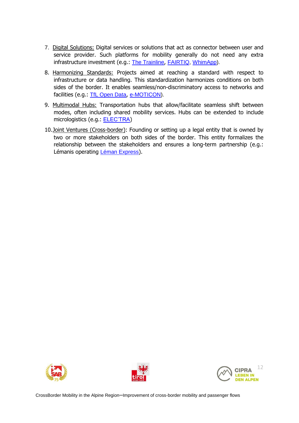- 7. Digital Solutions: Digital services or solutions that act as connector between user and service provider. Such platforms for mobility generally do not need any extra infrastructure investment (e.g.: [The Trainline](https://www.thetrainline.com/), [FAIRTIQ,](https://fairtiq.com/en-ch/) [WhimApp\)](https://whimapp.com/).
- 8. Harmonizing Standards: Projects aimed at reaching a standard with respect to infrastructure or data handling. This standardization harmonizes conditions on both sides of the border. It enables seamless/non-discriminatory access to networks and facilities (e.g.: [TfL Open Data](https://tfl.gov.uk/info-for/open-data-users/), [e-MOTICON\)](https://www.alpine-space.eu/projects/e-moticon/en/home).
- 9. Multimodal Hubs: Transportation hubs that allow/facilitate seamless shift between modes, often including shared mobility services. Hubs can be extended to include micrologistics (e.g.: [ELEC'TRA](http://www.izes.de/sites/default/files/publikationen/EM_12_091_D.pdf))
- 10.Joint Ventures (Cross-border): Founding or setting up a legal entity that is owned by two or more stakeholders on both sides of the border. This entity formalizes the relationship between the stakeholders and ensures a long-term partnership (e.g.: Lémanis operating [Léman Express](https://lemanexpress.ch/)).





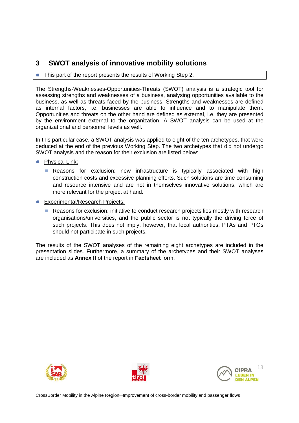## <span id="page-12-0"></span>**3 SWOT analysis of innovative mobility solutions**

#### ■ This part of the report presents the results of Working Step 2.

The Strengths-Weaknesses-Opportunities-Threats (SWOT) analysis is a strategic tool for assessing strengths and weaknesses of a business, analysing opportunities available to the business, as well as threats faced by the business. Strengths and weaknesses are defined as internal factors, i.e. businesses are able to influence and to manipulate them. Opportunities and threats on the other hand are defined as external, i.e. they are presented by the environment external to the organization. A SWOT analysis can be used at the organizational and personnel levels as well.

In this particular case, a SWOT analysis was applied to eight of the ten archetypes, that were deduced at the end of the previous Working Step. The two archetypes that did not undergo SWOT analysis and the reason for their exclusion are listed below:

- **Physical Link:** 
	- **Reasons for exclusion: new infrastructure is typically associated with high** construction costs and excessive planning efforts. Such solutions are time consuming and resource intensive and are not in themselves innovative solutions, which are more relevant for the project at hand.
- Experimental/Research Projects:
	- **Reasons for exclusion: initiative to conduct research projects lies mostly with research** organisations/universities, and the public sector is not typically the driving force of such projects. This does not imply, however, that local authorities, PTAs and PTOs should not participate in such projects.

The results of the SWOT analyses of the remaining eight archetypes are included in the presentation slides. Furthermore, a summary of the archetypes and their SWOT analyses are included as **Annex II** of the report in **Factsheet** form.





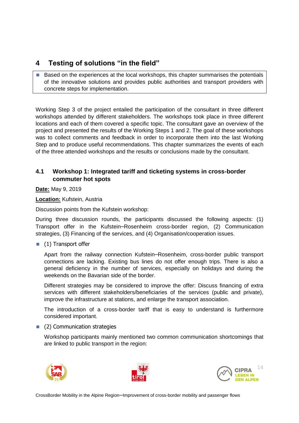## <span id="page-13-0"></span>**4 Testing of solutions "in the field"**

**Based on the experiences at the local workshops, this chapter summarises the potentials** of the innovative solutions and provides public authorities and transport providers with concrete steps for implementation.

Working Step 3 of the project entailed the participation of the consultant in three different workshops attended by different stakeholders. The workshops took place in three different locations and each of them covered a specific topic. The consultant gave an overview of the project and presented the results of the Working Steps 1 and 2. The goal of these workshops was to collect comments and feedback in order to incorporate them into the last Working Step and to produce useful recommendations. This chapter summarizes the events of each of the three attended workshops and the results or conclusions made by the consultant.

#### <span id="page-13-1"></span>**4.1 Workshop 1: Integrated tariff and ticketing systems in cross-border commuter hot spots**

**Date:** May 9, 2019

**Location:** Kufstein, Austria

Discussion points from the Kufstein workshop:

During three discussion rounds, the participants discussed the following aspects: (1) Transport offer in the Kufstein–Rosenheim cross-border region, (2) Communication strategies, (3) Financing of the services, and (4) Organisation/cooperation issues.

 $(1)$  Transport offer

Apart from the railway connection Kufstein–Rosenheim, cross-border public transport connections are lacking. Existing bus lines do not offer enough trips. There is also a general deficiency in the number of services, especially on holidays and during the weekends on the Bavarian side of the border.

Different strategies may be considered to improve the offer: Discuss financing of extra services with different stakeholders/beneficiaries of the services (public and private), improve the infrastructure at stations, and enlarge the transport association.

The introduction of a cross-border tariff that is easy to understand is furthermore considered important.

#### **(2)** Communication strategies

Workshop participants mainly mentioned two common communication shortcomings that are linked to public transport in the region:





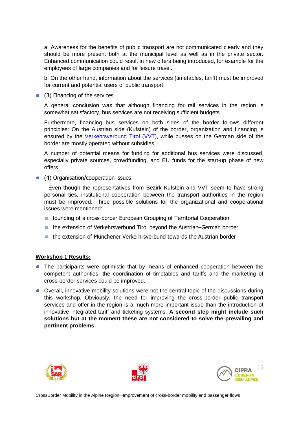a. Awareness for the benefits of public transport are not communicated clearly and they should be more present both at the municipal level as well as in the private sector. Enhanced communication could result in new offers being introduced, for example for the employees of large companies and for leisure travel.

b. On the other hand, information about the services (timetables, tariff) must be improved for current and potential users of public transport.

**(3)** Financing of the services

A general conclusion was that although financing for rail services in the region is somewhat satisfactory, bus services are not receiving sufficient budgets.

Furthermore, financing bus services on both sides of the border follows different principles: On the Austrian side (Kufstein) of the border, organization and financing is ensured by the [Verkehrsverbund Tirol \(VVT\),](https://www.vvt.at/) while busses on the German side of the border are mostly operated without subsidies.

A number of potential means for funding for additional bus services were discussed, especially private sources, crowdfunding, and EU funds for the start-up phase of new offers.

**(4)** Organisation/cooperation issues

- Even though the representatives from Bezirk Kufstein and VVT seem to have strong personal ties, institutional cooperation between the transport authorities in the region must be improved. Three possible solutions for the organizational and cooperational issues were mentioned:

- **F** founding of a cross-border European Grouping of Territorial Cooperation
- the extension of Verkehrsverbund Tirol beyond the Austrian–German border
- the extension of Münchener Verkerhrsverbund towards the Austrian border

#### **Workshop 1 Results:**

- **The participants were optimistic that by means of enhanced cooperation between the** competent authorities, the coordination of timetables and tariffs and the marketing of cross-border services could be improved.
- Overall, innovative mobility solutions were not the central topic of the discussions during this workshop. Obviously, the need for improving the cross-border public transport services and offer in the region is a much more important issue than the introduction of innovative integrated tariff and ticketing systems. **A second step might include such solutions but at the moment these are not considered to solve the prevailing and pertinent problems.**





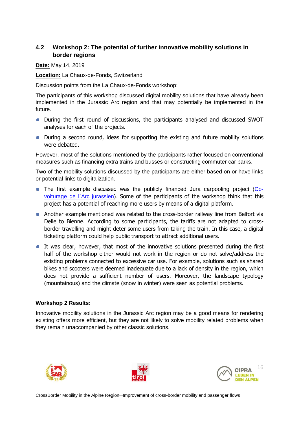#### <span id="page-15-0"></span>**4.2 Workshop 2: The potential of further innovative mobility solutions in border regions**

**Date:** May 14, 2019

**Location:** La Chaux-de-Fonds, Switzerland

Discussion points from the La Chaux-de-Fonds workshop:

The participants of this workshop discussed digital mobility solutions that have already been implemented in the Jurassic Arc region and that may potentially be implemented in the future.

- **During the first round of discussions, the participants analysed and discussed SWOT** analyses for each of the projects.
- **During a second round, ideas for supporting the existing and future mobility solutions** were debated.

However, most of the solutions mentioned by the participants rather focused on conventional measures such as financing extra trains and busses or constructing commuter car parks.

Two of the mobility solutions discussed by the participants are either based on or have links or potential links to digitalization.

- The first example discussed was the publicly financed Jura carpooling project [\(Co](http://covoiturage-arcjurassien.com/)[voiturage de l´Arc jurassien\)](http://covoiturage-arcjurassien.com/). Some of the participants of the workshop think that this project has a potential of reaching more users by means of a digital platform.
- Another example mentioned was related to the cross-border railway line from Belfort via Delle to Bienne. According to some participants, the tariffs are not adapted to crossborder travelling and might deter some users from taking the train. In this case, a digital ticketing platform could help public transport to attract additional users.
- It was clear, however, that most of the innovative solutions presented during the first half of the workshop either would not work in the region or do not solve/address the existing problems connected to excessive car use. For example, solutions such as shared bikes and scooters were deemed inadequate due to a lack of density in the region, which does not provide a sufficient number of users. Moreover, the landscape typology (mountainous) and the climate (snow in winter) were seen as potential problems.

#### **Workshop 2 Results:**

Innovative mobility solutions in the Jurassic Arc region may be a good means for rendering existing offers more efficient, but they are not likely to solve mobility related problems when they remain unaccompanied by other classic solutions.





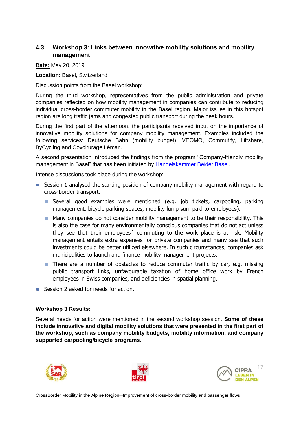#### <span id="page-16-0"></span>**4.3 Workshop 3: Links between innovative mobility solutions and mobility management**

**Date:** May 20, 2019

**Location:** Basel, Switzerland

Discussion points from the Basel workshop:

During the third workshop, representatives from the public administration and private companies reflected on how mobility management in companies can contribute to reducing individual cross-border commuter mobility in the Basel region. Major issues in this hotspot region are long traffic jams and congested public transport during the peak hours.

During the first part of the afternoon, the participants received input on the importance of innovative mobility solutions for company mobility management. Examples included the following services: Deutsche Bahn (mobility budget), VEOMO, Commutify, Liftshare, ByCycling and Covoiturage Léman.

A second presentation introduced the findings from the program "Company-friendly mobility management in Basel" that has been initiated by [Handelskammer Beider Basel.](https://www.hkbb.ch/de/dienstleistungen/mobilitaetsmanagement/index.php)

Intense discussions took place during the workshop:

- **Session 1 analysed the starting position of company mobility management with regard to** cross-border transport.
	- Several good examples were mentioned (e.g. job tickets, carpooling, parking management, bicycle parking spaces, mobility lump sum paid to employees).
	- **Many companies do not consider mobility management to be their responsibility. This** is also the case for many environmentally conscious companies that do not act unless they see that their employees´ commuting to the work place is at risk. Mobility management entails extra expenses for private companies and many see that such investments could be better utilized elsewhere. In such circumstances, companies ask municipalities to launch and finance mobility management projects.
	- **There are a number of obstacles to reduce commuter traffic by car, e.g. missing** public transport links, unfavourable taxation of home office work by French employees in Swiss companies, and deficiencies in spatial planning.
- Session 2 asked for needs for action.

#### **Workshop 3 Results:**

Several needs for action were mentioned in the second workshop session. **Some of these include innovative and digital mobility solutions that were presented in the first part of the workshop, such as company mobility budgets, mobility information, and company supported carpooling/bicycle programs.**





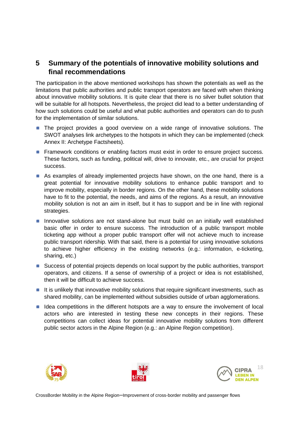## <span id="page-17-0"></span>**5 Summary of the potentials of innovative mobility solutions and final recommendations**

The participation in the above mentioned workshops has shown the potentials as well as the limitations that public authorities and public transport operators are faced with when thinking about innovative mobility solutions. It is quite clear that there is no silver bullet solution that will be suitable for all hotspots. Nevertheless, the project did lead to a better understanding of how such solutions could be useful and what public authorities and operators can do to push for the implementation of similar solutions.

- **The project provides a good overview on a wide range of innovative solutions. The** SWOT analyses link archetypes to the hotspots in which they can be implemented (check Annex II: Archetype Factsheets).
- **Framework conditions or enabling factors must exist in order to ensure project success.** These factors, such as funding, political will, drive to innovate, etc., are crucial for project success.
- As examples of already implemented projects have shown, on the one hand, there is a great potential for innovative mobility solutions to enhance public transport and to improve mobility, especially in border regions. On the other hand, these mobility solutions have to fit to the potential, the needs, and aims of the regions. As a result, an innovative mobility solution is not an aim in itself, but it has to support and be in line with regional strategies.
- **Innovative solutions are not stand-alone but must build on an initially well established** basic offer in order to ensure success. The introduction of a public transport mobile ticketing app without a proper public transport offer will not achieve much to increase public transport ridership. With that said, there is a potential for using innovative solutions to achieve higher efficiency in the existing networks (e.g.: information, e-ticketing, sharing, etc.)
- **Success of potential projects depends on local support by the public authorities, transport** operators, and citizens. If a sense of ownership of a project or idea is not established, then it will be difficult to achieve success.
- It is unlikely that innovative mobility solutions that require significant investments, such as shared mobility, can be implemented without subsidies outside of urban agglomerations.
- I Idea competitions in the different hotspots are a way to ensure the involvement of local actors who are interested in testing these new concepts in their regions. These competitions can collect ideas for potential innovative mobility solutions from different public sector actors in the Alpine Region (e.g.: an Alpine Region competition).